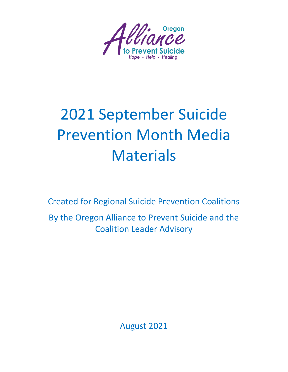

# 2021 September Suicide Prevention Month Media **Materials**

Created for Regional Suicide Prevention Coalitions By the Oregon Alliance to Prevent Suicide and the Coalition Leader Advisory

August 2021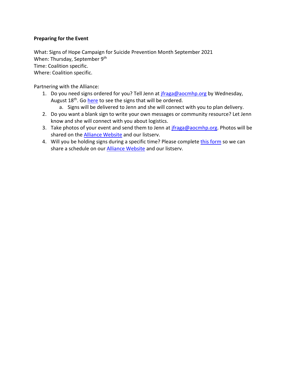## **Preparing for the Event**

What: Signs of Hope Campaign for Suicide Prevention Month September 2021 When: Thursday, September 9<sup>th</sup> Time: Coalition specific. Where: Coalition specific.

Partnering with the Alliance:

- 1. Do you need signs ordered for you? Tell Jenn at [jfraga@aocmhp.org](mailto:jfraga@aocmhp.org) by Wednesday, August 18<sup>th</sup>. Go [here](https://www.dontgiveupsigns.com/product-page/sign-variety-packs-8) to see the signs that will be ordered.
	- a. Signs will be delivered to Jenn and she will connect with you to plan delivery.
- 2. Do you want a blank sign to write your own messages or community resource? Let Jenn know and she will connect with you about logistics.
- 3. Take photos of your event and send them to Jenn at *jfraga@aocmhp.org*. Photos will be shared on the [Alliance Website](https://oregonalliancetopreventsuicide.org/) and our listserv.
- 4. Will you be holding signs during a specific time? Please complete [this form](https://forms.gle/Wu7bcGuWYxuuTojeA) so we can share a schedule on our **Alliance Website** and our listserv.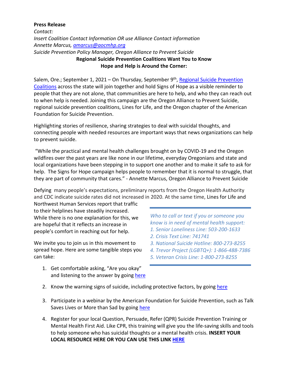#### **Press Release**

*Contact: Insert Coalition Contact Information OR use Alliance Contact information Annette Marcus, [amarcus@aocmhp.org](mailto:amarcus@aocmhp.org) Suicide Prevention Policy Manager, Oregon Alliance to Prevent Suicide* **Regional Suicide Prevention Coalitions Want You to Know Hope and Help is Around the Corner:**

Salem, Ore.; September 1, 2021 – On Thursday, September 9<sup>th</sup>, Regional Suicide Prevention [Coalitions](https://oregonalliancetopreventsuicide.org/regional-suicide-prevention-coalitions/) across the state will join together and hold Signs of Hope as a visible reminder to people that they are not alone, that communities are here to help, and who they can reach out to when help is needed. Joining this campaign are the Oregon Alliance to Prevent Suicide, regional suicide prevention coalitions, Lines for Life, and the Oregon chapter of the American Foundation for Suicide Prevention.

Highlighting stories of resilience, sharing strategies to deal with suicidal thoughts, and connecting people with needed resources are important ways that news organizations can help to prevent suicide.

"While the practical and mental health challenges brought on by COVID-19 and the Oregon wildfires over the past years are like none in our lifetime, everyday Oregonians and state and local organizations have been stepping in to support one another and to make it safe to ask for help. The Signs for Hope campaign helps people to remember that it is normal to struggle, that they are part of community that cares." - Annette Marcus, Oregon Alliance to Prevent Suicide

Defying many people's expectations, preliminary reports from the Oregon Health Authority and CDC indicate suicide rates did not increased in 2020. At the same time, Lines for Life and

Northwest Human Services report that traffic to their helplines have steadily increased. While there is no one explanation for this, we are hopeful that it reflects an increase in people's comfort in reaching out for help.

We invite you to join us in this movement to spread hope. Here are some tangible steps you can take:

- *Who to call or text if you or someone you know is in need of mental health support:*
- *1. Senior Loneliness Line: 503-200-1633*
- *2. Crisis Text Line: 741741*
- *3. National Suicide Hotline: 800-273-8255*
- *4. Trevor Project (LGBTQ+): 1-866-488-7386*
- *5. Veteran Crisis Line: 1-800-273-8255*
- 1. Get comfortable asking, "Are you okay" and listening to the answer by going [here](https://afsp.org/risk-factors-protective-factors-and-warning-signs)
- 2. Know the warning signs of suicide, including protective factors, by going [here](https://www.ruok.org.au/how-to-ask)
- 3. Participate in a webinar by the American Foundation for Suicide Prevention, such as Talk Saves Lives or More than Sad by going [here](https://afsp.org/chapter/oregon#programs)
- 4. Register for your local Question, Persuade, Refer (QPR) Suicide Prevention Training or Mental Health First Aid. Like CPR, this training will give you the life-saving skills and tools to help someone who has suicidal thoughts or a mental health crisis. **INSERT YOUR LOCAL RESOURCE HERE OR YOU CAN USE THIS LINK [HERE](https://mhfaoregon.org/)**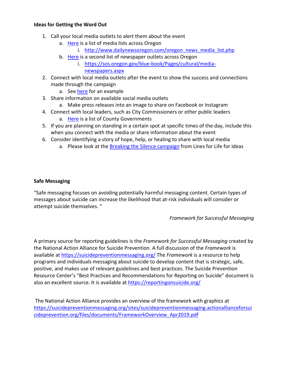#### **Ideas for Getting the Word Out**

- 1. Call your local media outlets to alert them about the event
	- a. [Here](http://www.dailynewsoregon.com/oregon_news_media_list.php) is a list of media lists across Oregon
		- i. http://www.dailynewsoregon.com/oregon news media list.php
	- b. [Here](https://sos.oregon.gov/blue-book/Pages/cultural/media-newspapers.aspx) is a second list of newspaper outlets across Oregon
		- i. [https://sos.oregon.gov/blue-book/Pages/cultural/media](https://sos.oregon.gov/blue-book/Pages/cultural/media-newspapers.aspx)[newspapers.aspx](https://sos.oregon.gov/blue-book/Pages/cultural/media-newspapers.aspx)
- 2. Connect with local media outlets after the event to show the success and connections made through the campaign
	- a. See [here](https://pamplinmedia.com/mop/157-news/428956-336754-county-staffers-rally-for-hope) for an example
- 3. Share information on available social media outlets
	- a. Make press releases into an image to share on Facebook or Instagram
- 4. Connect with local leaders, such as City Commissioners or other public leaders
	- a. [Here](https://sos.oregon.gov/blue-book/Pages/local-county.aspx) is a list of County Governments
- 5. If you are planning on standing in a certain spot at specific times of the day, include this when you connect with the media or share information about the event
- 6. Consider identifying a story of hope, help, or healing to share with local media
	- a. Please look at the **Breaking the Silence campaign** from Lines for Life for ideas

## **Safe Messaging**

"Safe messaging focuses on avoiding potentially harmful messaging content. Certain types of messages about suicide can increase the likelihood that at-risk individuals will consider or attempt suicide themselves. "

## *Framework for Successful Messaging*

A primary source for reporting guidelines is the *Framework for Successful Messaging* created by the National Action Alliance for Suicide Prevention. A full discussion of the *Framework* is available at <https://suicidepreventionmessaging.org/> The *Framework* is a resource to help programs and individuals messaging about suicide to develop content that is strategic, safe, positive, and makes use of relevant guidelines and best practices. The Suicide Prevention Resource Center's "Best Practices and Recommendations for Reporting on Suicide" document is also an excellent source. It is available at<https://reportingonsuicide.org/>

The National Action Alliance provides an overview of the framework with graphics at [https://suicidepreventionmessaging.org/sites/suicidepreventionmessaging.actionallianceforsui](https://suicidepreventionmessaging.org/sites/suicidepreventionmessaging.actionallianceforsuicideprevention.org/files/documents/FrameworkOverview_Apr2019.pdf) [cideprevention.org/files/documents/FrameworkOverview\\_Apr2019.pdf](https://suicidepreventionmessaging.org/sites/suicidepreventionmessaging.actionallianceforsuicideprevention.org/files/documents/FrameworkOverview_Apr2019.pdf)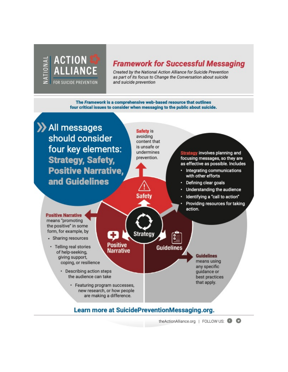

# **Framework for Successful Messaging**

Created by the National Action Alliance for Suicide Prevention as part of its focus to Change the Conversation about suicide and suicide prevention

The Framework is a comprehensive web-based resource that outlines four critical issues to consider when messaging to the public about suicide.



theActionAlliance.org | FOLLOW US: @ @